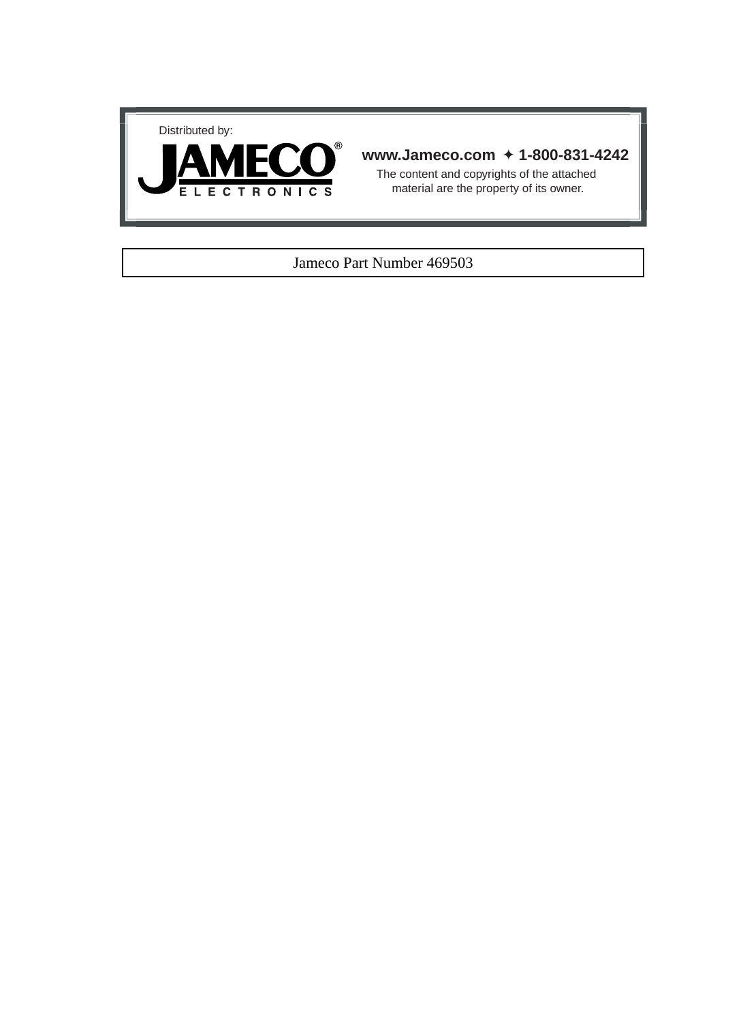



# **www.Jameco.com** ✦ **1-800-831-4242**

The content and copyrights of the attached material are the property of its owner.

# Jameco Part Number 469503